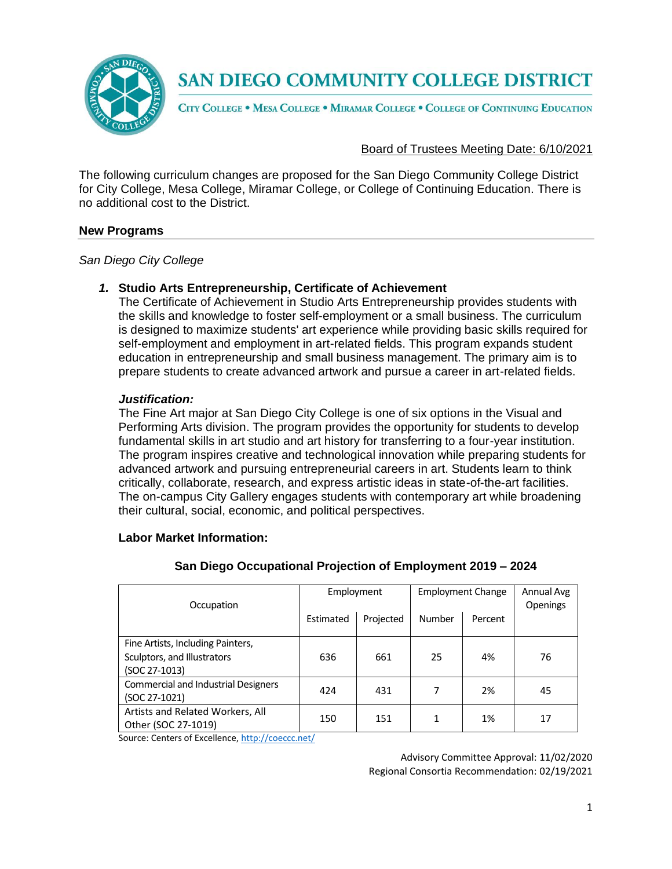

CITY COLLEGE . MESA COLLEGE . MIRAMAR COLLEGE . COLLEGE OF CONTINUING EDUCATION

### Board of Trustees Meeting Date: 6/10/2021

The following curriculum changes are proposed for the San Diego Community College District for City College, Mesa College, Miramar College, or College of Continuing Education. There is no additional cost to the District.

#### **New Programs**

*San Diego City College*

#### *1.* **Studio Arts Entrepreneurship, Certificate of Achievement**

The Certificate of Achievement in Studio Arts Entrepreneurship provides students with the skills and knowledge to foster self-employment or a small business. The curriculum is designed to maximize students' art experience while providing basic skills required for self-employment and employment in art-related fields. This program expands student education in entrepreneurship and small business management. The primary aim is to prepare students to create advanced artwork and pursue a career in art-related fields.

#### *Justification:*

The Fine Art major at San Diego City College is one of six options in the Visual and Performing Arts division. The program provides the opportunity for students to develop fundamental skills in art studio and art history for transferring to a four-year institution. The program inspires creative and technological innovation while preparing students for advanced artwork and pursuing entrepreneurial careers in art. Students learn to think critically, collaborate, research, and express artistic ideas in state-of-the-art facilities. The on-campus City Gallery engages students with contemporary art while broadening their cultural, social, economic, and political perspectives.

#### **Labor Market Information:**

| Occupation                                                                        | Employment |           |        | <b>Employment Change</b> | Annual Avg<br>Openings |
|-----------------------------------------------------------------------------------|------------|-----------|--------|--------------------------|------------------------|
|                                                                                   | Estimated  | Projected | Number | Percent                  |                        |
| Fine Artists, Including Painters,<br>Sculptors, and Illustrators<br>(SOC 27-1013) | 636        | 661       | 25     | 4%                       | 76                     |
| <b>Commercial and Industrial Designers</b><br>(SOC 27-1021)                       | 424        | 431       | 7      | 2%                       | 45                     |
| Artists and Related Workers, All<br>Other (SOC 27-1019)                           | 150        | 151       |        | 1%                       | 17                     |

#### **San Diego Occupational Projection of Employment 2019 – 2024**

Source: Centers of Excellence, <http://coeccc.net/>

Advisory Committee Approval: 11/02/2020 Regional Consortia Recommendation: 02/19/2021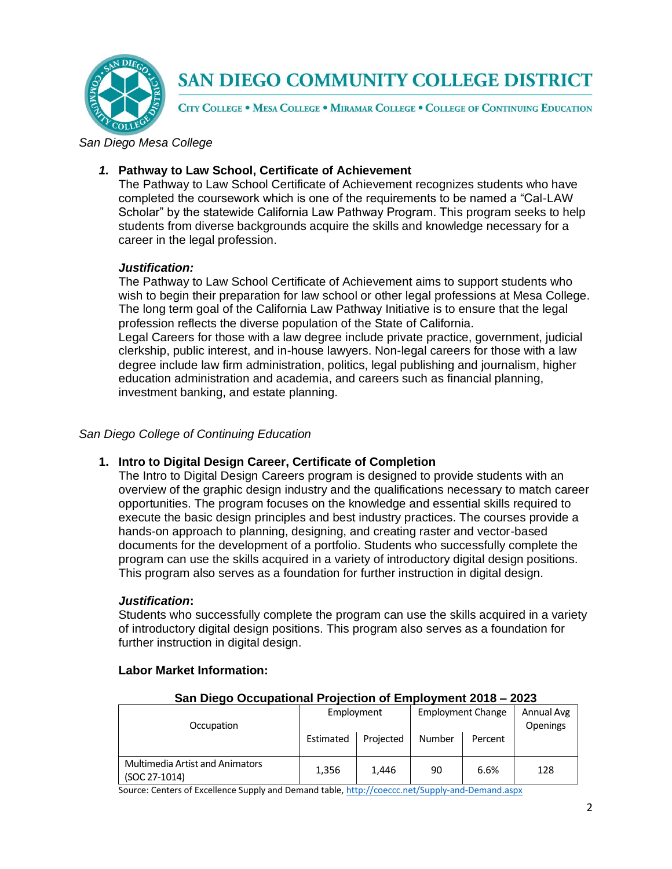

CITY COLLEGE . MESA COLLEGE . MIRAMAR COLLEGE . COLLEGE OF CONTINUING EDUCATION

*San Diego Mesa College*

## *1.* **Pathway to Law School, Certificate of Achievement**

The Pathway to Law School Certificate of Achievement recognizes students who have completed the coursework which is one of the requirements to be named a "Cal-LAW Scholar" by the statewide California Law Pathway Program. This program seeks to help students from diverse backgrounds acquire the skills and knowledge necessary for a career in the legal profession.

## *Justification:*

The Pathway to Law School Certificate of Achievement aims to support students who wish to begin their preparation for law school or other legal professions at Mesa College. The long term goal of the California Law Pathway Initiative is to ensure that the legal profession reflects the diverse population of the State of California. Legal Careers for those with a law degree include private practice, government, judicial clerkship, public interest, and in-house lawyers. Non-legal careers for those with a law degree include law firm administration, politics, legal publishing and journalism, higher education administration and academia, and careers such as financial planning, investment banking, and estate planning.

### *San Diego College of Continuing Education*

### **1. Intro to Digital Design Career, Certificate of Completion**

The Intro to Digital Design Careers program is designed to provide students with an overview of the graphic design industry and the qualifications necessary to match career opportunities. The program focuses on the knowledge and essential skills required to execute the basic design principles and best industry practices. The courses provide a hands-on approach to planning, designing, and creating raster and vector-based documents for the development of a portfolio. Students who successfully complete the program can use the skills acquired in a variety of introductory digital design positions. This program also serves as a foundation for further instruction in digital design.

### *Justification***:**

Students who successfully complete the program can use the skills acquired in a variety of introductory digital design positions. This program also serves as a foundation for further instruction in digital design.

| San Diego Occupational Projection of Employment 2018 – 2023 |            |           |                          |         |                               |  |
|-------------------------------------------------------------|------------|-----------|--------------------------|---------|-------------------------------|--|
| Occupation                                                  | Employment |           | <b>Employment Change</b> |         | Annual Avg<br><b>Openings</b> |  |
|                                                             | Estimated  | Projected | Number                   | Percent |                               |  |
| <b>Multimedia Artist and Animators</b><br>(SOC 27-1014)     | 1,356      | 1.446     | 90                       | 6.6%    | 128                           |  |

## **Labor Market Information:**

Source: Centers of Excellence Supply and Demand table, <http://coeccc.net/Supply-and-Demand.aspx>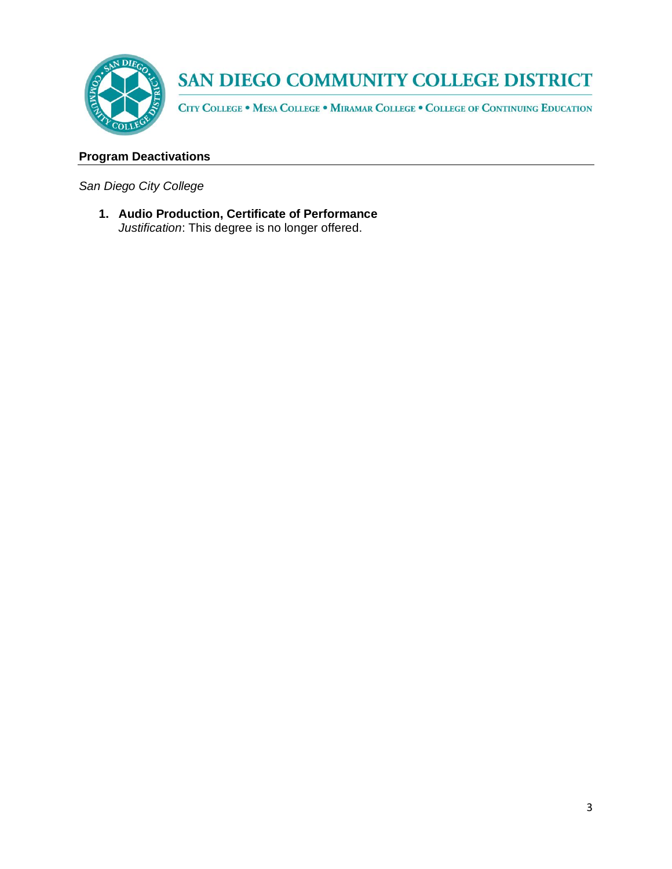

CITY COLLEGE . MESA COLLEGE . MIRAMAR COLLEGE . COLLEGE OF CONTINUING EDUCATION

## **Program Deactivations**

*San Diego City College*

**1. Audio Production, Certificate of Performance**  *Justification*: This degree is no longer offered.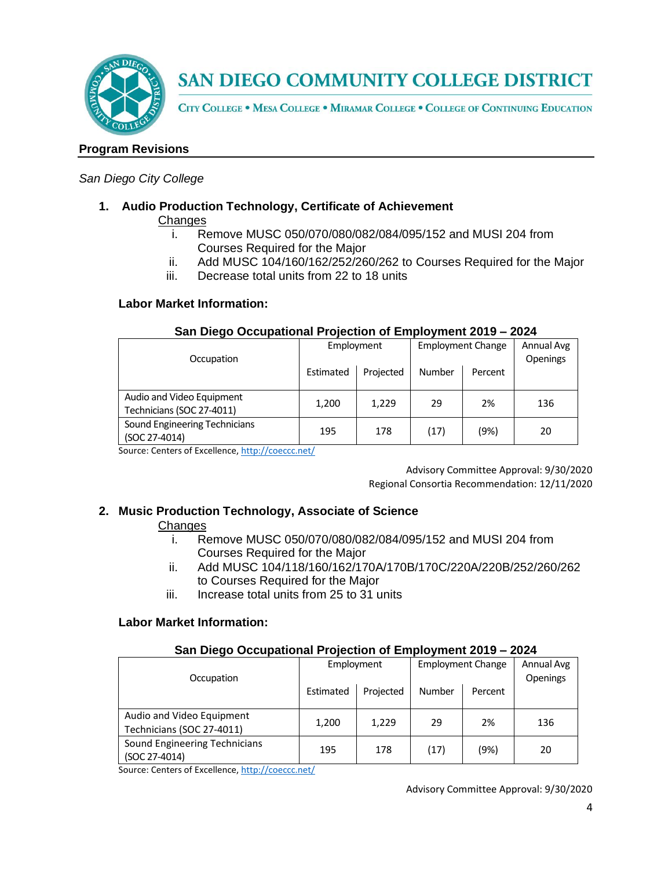

CITY COLLEGE . MESA COLLEGE . MIRAMAR COLLEGE . COLLEGE OF CONTINUING EDUCATION

## **Program Revisions**

#### *San Diego City College*

### **1. Audio Production Technology, Certificate of Achievement**

#### **Changes**

- i. Remove MUSC 050/070/080/082/084/095/152 and MUSI 204 from Courses Required for the Major
- ii. Add MUSC 104/160/162/252/260/262 to Courses Required for the Major
- iii. Decrease total units from 22 to 18 units

### **Labor Market Information:**

#### **San Diego Occupational Projection of Employment 2019 – 2024**

| Occupation                                             | Employment |           | <b>Employment Change</b> |         | Annual Avg<br><b>Openings</b> |
|--------------------------------------------------------|------------|-----------|--------------------------|---------|-------------------------------|
|                                                        | Estimated  | Projected | Number                   | Percent |                               |
| Audio and Video Equipment<br>Technicians (SOC 27-4011) | 1,200      | 1,229     | 29                       | 2%      | 136                           |
| Sound Engineering Technicians<br>(SOC 27-4014)         | 195        | 178       | (17)                     | (9%)    | 20                            |

Source: Centers of Excellence, <http://coeccc.net/>

Advisory Committee Approval: 9/30/2020 Regional Consortia Recommendation: 12/11/2020

### **2. Music Production Technology, Associate of Science**

### **Changes**

- i. Remove MUSC 050/070/080/082/084/095/152 and MUSI 204 from Courses Required for the Major
- ii. Add MUSC 104/118/160/162/170A/170B/170C/220A/220B/252/260/262 to Courses Required for the Major
- iii. Increase total units from 25 to 31 units

### **Labor Market Information:**

### **San Diego Occupational Projection of Employment 2019 – 2024**

| Occupation                                             | Employment |           | <b>Employment Change</b> |         | Annual Avg<br><b>Openings</b> |
|--------------------------------------------------------|------------|-----------|--------------------------|---------|-------------------------------|
|                                                        | Estimated  | Projected | Number                   | Percent |                               |
| Audio and Video Equipment<br>Technicians (SOC 27-4011) | 1,200      | 1,229     | 29                       | 2%      | 136                           |
| Sound Engineering Technicians<br>(SOC 27-4014)         | 195        | 178       | (17)                     | (9%)    | 20                            |

Source: Centers of Excellence, <http://coeccc.net/>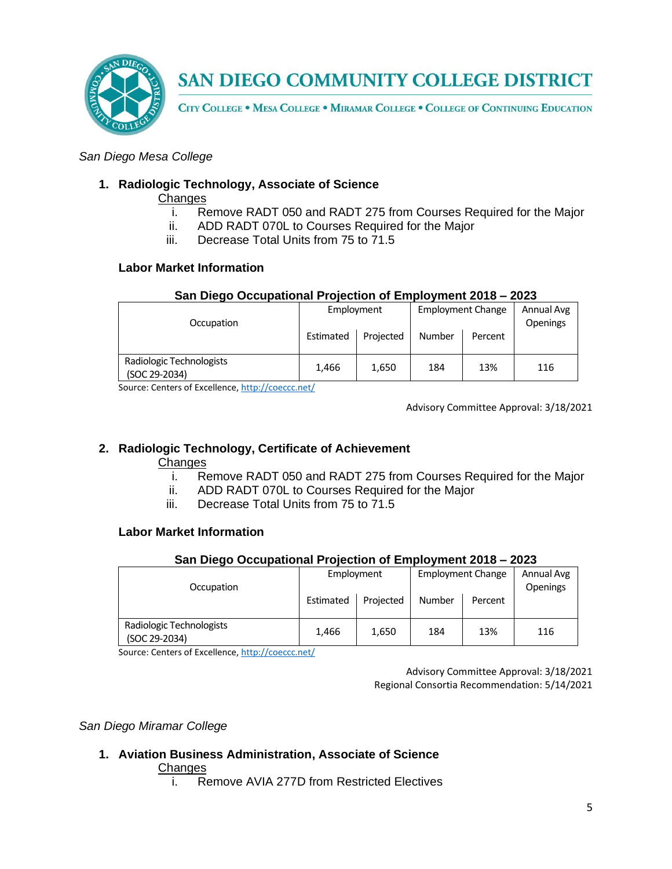

CITY COLLEGE . MESA COLLEGE . MIRAMAR COLLEGE . COLLEGE OF CONTINUING EDUCATION

### *San Diego Mesa College*

### **1. Radiologic Technology, Associate of Science**

**Changes** 

- i. Remove RADT 050 and RADT 275 from Courses Required for the Major
- ii. ADD RADT 070L to Courses Required for the Major
- iii. Decrease Total Units from 75 to 71.5

#### **Labor Market Information**

#### **San Diego Occupational Projection of Employment 2018 – 2023**

| Occupation                                | Employment |           | <b>Employment Change</b> |         | Annual Avg<br><b>Openings</b> |
|-------------------------------------------|------------|-----------|--------------------------|---------|-------------------------------|
|                                           | Estimated  | Projected | Number                   | Percent |                               |
| Radiologic Technologists<br>(SOC 29-2034) | 1,466      | 1,650     | 184                      | 13%     | 116                           |

Source: Centers of Excellence, <http://coeccc.net/>

Advisory Committee Approval: 3/18/2021

### **2. Radiologic Technology, Certificate of Achievement**

#### **Changes**

- i. Remove RADT 050 and RADT 275 from Courses Required for the Major
- ii. ADD RADT 070L to Courses Required for the Major
- iii. Decrease Total Units from 75 to 71.5

## **Labor Market Information**

#### **San Diego Occupational Projection of Employment 2018 – 2023**

| Occupation                                | Employment |           | <b>Employment Change</b> |         | Annual Avg<br><b>Openings</b> |
|-------------------------------------------|------------|-----------|--------------------------|---------|-------------------------------|
|                                           | Estimated  | Projected | <b>Number</b>            | Percent |                               |
| Radiologic Technologists<br>(SOC 29-2034) | 1.466      | 1,650     | 184                      | 13%     | 116                           |

Source: Centers of Excellence, <http://coeccc.net/>

Advisory Committee Approval: 3/18/2021 Regional Consortia Recommendation: 5/14/2021

### *San Diego Miramar College*

## **1. Aviation Business Administration, Associate of Science**

#### **Changes**

i. Remove AVIA 277D from Restricted Electives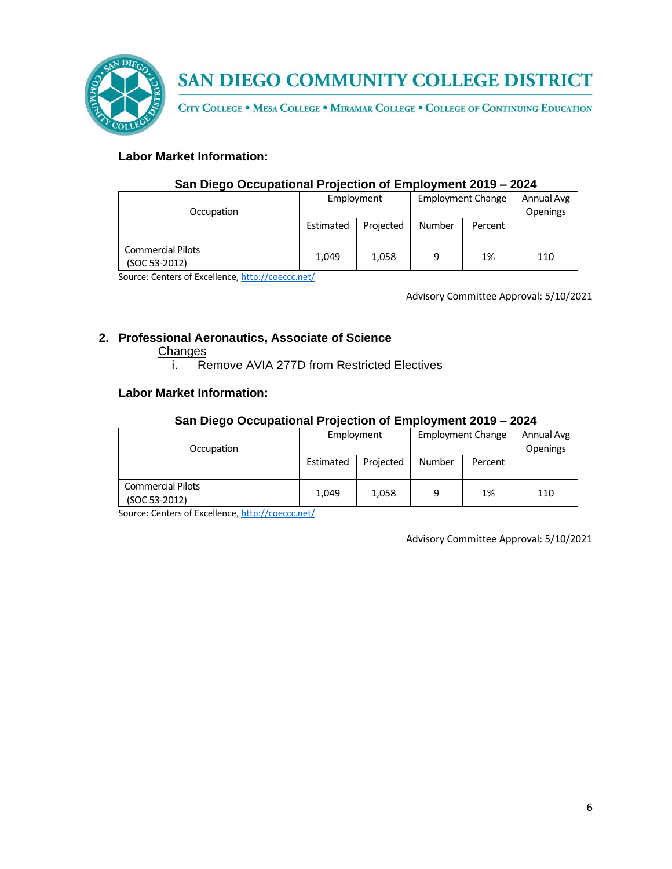

CITY COLLEGE . MESA COLLEGE . MIRAMAR COLLEGE . COLLEGE OF CONTINUING EDUCATION

## **Labor Market Information:**

### **San Diego Occupational Projection of Employment 2019 – 2024**

| Occupation                                |           | Employment |        | <b>Employment Change</b> |     |
|-------------------------------------------|-----------|------------|--------|--------------------------|-----|
|                                           | Estimated | Projected  | Number | Percent                  |     |
| <b>Commercial Pilots</b><br>(SOC 53-2012) | 1.049     | 1,058      | 9      | 1%                       | 110 |

Source: Centers of Excellence, <http://coeccc.net/>

Advisory Committee Approval: 5/10/2021

## **2. Professional Aeronautics, Associate of Science**

#### **Changes**

i. Remove AVIA 277D from Restricted Electives

#### **Labor Market Information:**

#### **San Diego Occupational Projection of Employment 2019 – 2024**

| Occupation                                |           | Employment |        | <b>Employment Change</b> |     |
|-------------------------------------------|-----------|------------|--------|--------------------------|-----|
|                                           | Estimated | Projected  | Number | Percent                  |     |
| <b>Commercial Pilots</b><br>(SOC 53-2012) | 1,049     | 1,058      | 9      | 1%                       | 110 |

Source: Centers of Excellence, <http://coeccc.net/>

Advisory Committee Approval: 5/10/2021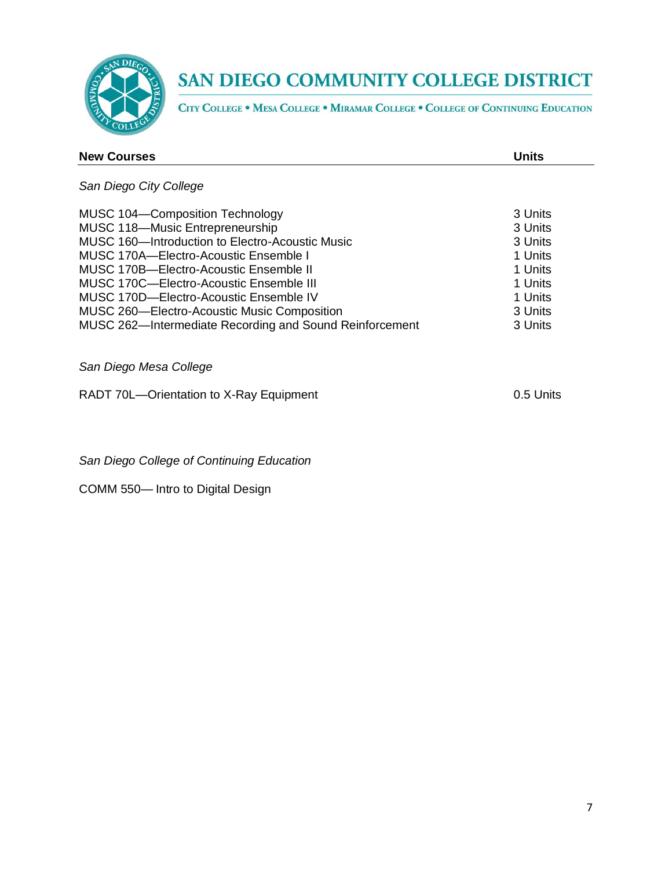

CITY COLLEGE . MESA COLLEGE . MIRAMAR COLLEGE . COLLEGE OF CONTINUING EDUCATION

| <b>New Courses</b>                              | <b>Units</b> |
|-------------------------------------------------|--------------|
| San Diego City College                          |              |
| MUSC 104-Composition Technology                 | 3 Units      |
| MUSC 118-Music Entrepreneurship                 | 3 Units      |
| MUSC 160-Introduction to Electro-Acoustic Music | 3 Units      |
| MUSC 170A—Electro-Acoustic Ensemble I           | 1 Units      |
| MUSC 170B-Electro-Acoustic Ensemble II          | 1 Units      |

| MUSC 170C-Electro-Acoustic Ensemble III                 | 1 Units  |
|---------------------------------------------------------|----------|
| MUSC 170D—Electro-Acoustic Ensemble IV                  | 1 Units  |
| <b>MUSC 260-Electro-Acoustic Music Composition</b>      | -3 Units |
| MUSC 262—Intermediate Recording and Sound Reinforcement | -3 Units |

## *San Diego Mesa College*

RADT 70L-Orientation to X-Ray Equipment 0.5 Units

*San Diego College of Continuing Education*

COMM 550— Intro to Digital Design